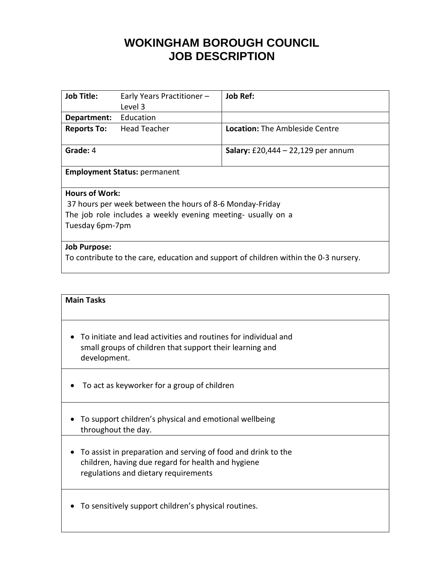# **WOKINGHAM BOROUGH COUNCIL JOB DESCRIPTION**

| <b>Job Title:</b>                                                                    | Early Years Practitioner - | <b>Job Ref:</b>                           |  |
|--------------------------------------------------------------------------------------|----------------------------|-------------------------------------------|--|
|                                                                                      | Level 3                    |                                           |  |
| Department:                                                                          | Education                  |                                           |  |
| <b>Reports To:</b>                                                                   | <b>Head Teacher</b>        | <b>Location:</b> The Ambleside Centre     |  |
| Grade: 4                                                                             |                            | <b>Salary:</b> £20,444 – 22,129 per annum |  |
| <b>Employment Status: permanent</b>                                                  |                            |                                           |  |
| <b>Hours of Work:</b>                                                                |                            |                                           |  |
| 37 hours per week between the hours of 8-6 Monday-Friday                             |                            |                                           |  |
| The job role includes a weekly evening meeting- usually on a                         |                            |                                           |  |
| Tuesday 6pm-7pm                                                                      |                            |                                           |  |
|                                                                                      |                            |                                           |  |
| <b>Job Purpose:</b>                                                                  |                            |                                           |  |
| To contribute to the care, education and support of children within the 0-3 nursery. |                            |                                           |  |

### **Main Tasks**

- To initiate and lead activities and routines for individual and small groups of children that support their learning and development.
- To act as keyworker for a group of children
- To support children's physical and emotional wellbeing throughout the day.
- To assist in preparation and serving of food and drink to the children, having due regard for health and hygiene regulations and dietary requirements
- To sensitively support children's physical routines.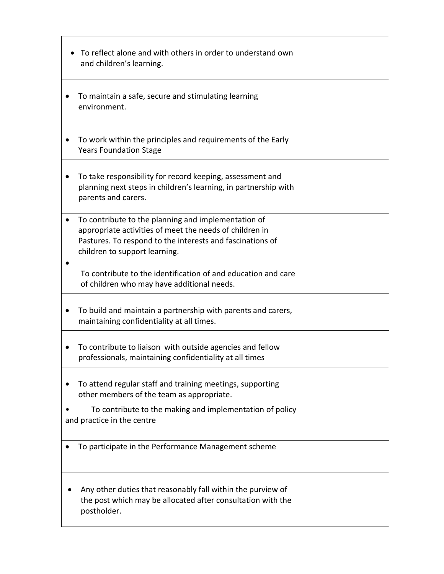| To reflect alone and with others in order to understand own<br>and children's learning.                                                                                                                      |  |  |
|--------------------------------------------------------------------------------------------------------------------------------------------------------------------------------------------------------------|--|--|
| To maintain a safe, secure and stimulating learning<br>environment.                                                                                                                                          |  |  |
| To work within the principles and requirements of the Early<br><b>Years Foundation Stage</b>                                                                                                                 |  |  |
| To take responsibility for record keeping, assessment and<br>planning next steps in children's learning, in partnership with<br>parents and carers.                                                          |  |  |
| To contribute to the planning and implementation of<br>appropriate activities of meet the needs of children in<br>Pastures. To respond to the interests and fascinations of<br>children to support learning. |  |  |
| To contribute to the identification of and education and care<br>of children who may have additional needs.                                                                                                  |  |  |
| To build and maintain a partnership with parents and carers,<br>maintaining confidentiality at all times.                                                                                                    |  |  |
| To contribute to liaison with outside agencies and fellow<br>professionals, maintaining confidentiality at all times                                                                                         |  |  |
| To attend regular staff and training meetings, supporting<br>other members of the team as appropriate.                                                                                                       |  |  |
| To contribute to the making and implementation of policy<br>and practice in the centre                                                                                                                       |  |  |
| To participate in the Performance Management scheme                                                                                                                                                          |  |  |
| Any other duties that reasonably fall within the purview of<br>the post which may be allocated after consultation with the<br>postholder.                                                                    |  |  |